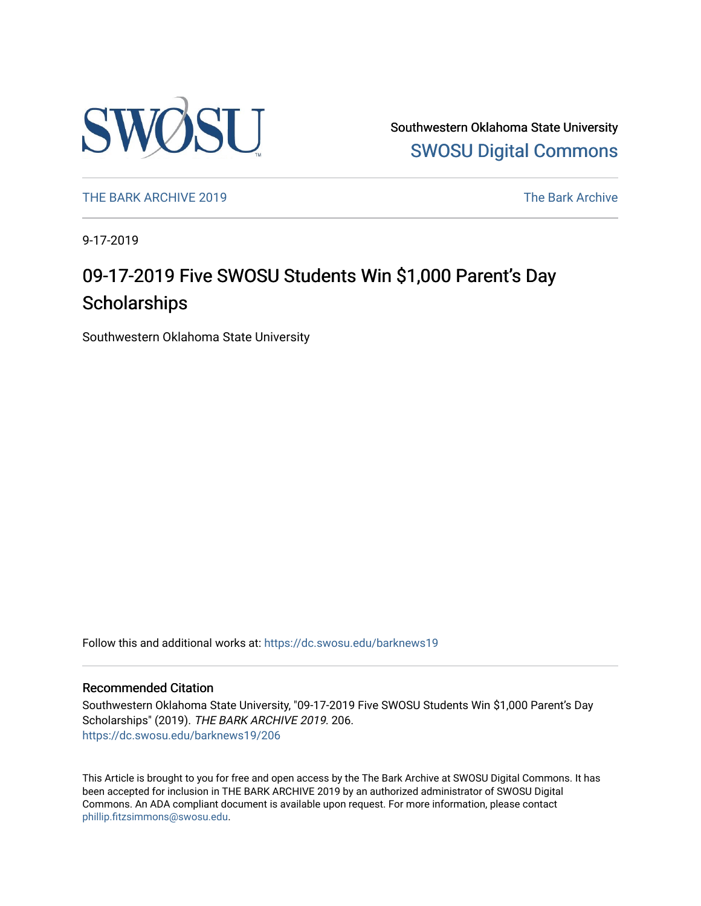

Southwestern Oklahoma State University [SWOSU Digital Commons](https://dc.swosu.edu/) 

[THE BARK ARCHIVE 2019](https://dc.swosu.edu/barknews19) The Bark Archive

9-17-2019

## 09-17-2019 Five SWOSU Students Win \$1,000 Parent's Day **Scholarships**

Southwestern Oklahoma State University

Follow this and additional works at: [https://dc.swosu.edu/barknews19](https://dc.swosu.edu/barknews19?utm_source=dc.swosu.edu%2Fbarknews19%2F206&utm_medium=PDF&utm_campaign=PDFCoverPages)

#### Recommended Citation

Southwestern Oklahoma State University, "09-17-2019 Five SWOSU Students Win \$1,000 Parent's Day Scholarships" (2019). THE BARK ARCHIVE 2019. 206. [https://dc.swosu.edu/barknews19/206](https://dc.swosu.edu/barknews19/206?utm_source=dc.swosu.edu%2Fbarknews19%2F206&utm_medium=PDF&utm_campaign=PDFCoverPages)

This Article is brought to you for free and open access by the The Bark Archive at SWOSU Digital Commons. It has been accepted for inclusion in THE BARK ARCHIVE 2019 by an authorized administrator of SWOSU Digital Commons. An ADA compliant document is available upon request. For more information, please contact [phillip.fitzsimmons@swosu.edu](mailto:phillip.fitzsimmons@swosu.edu).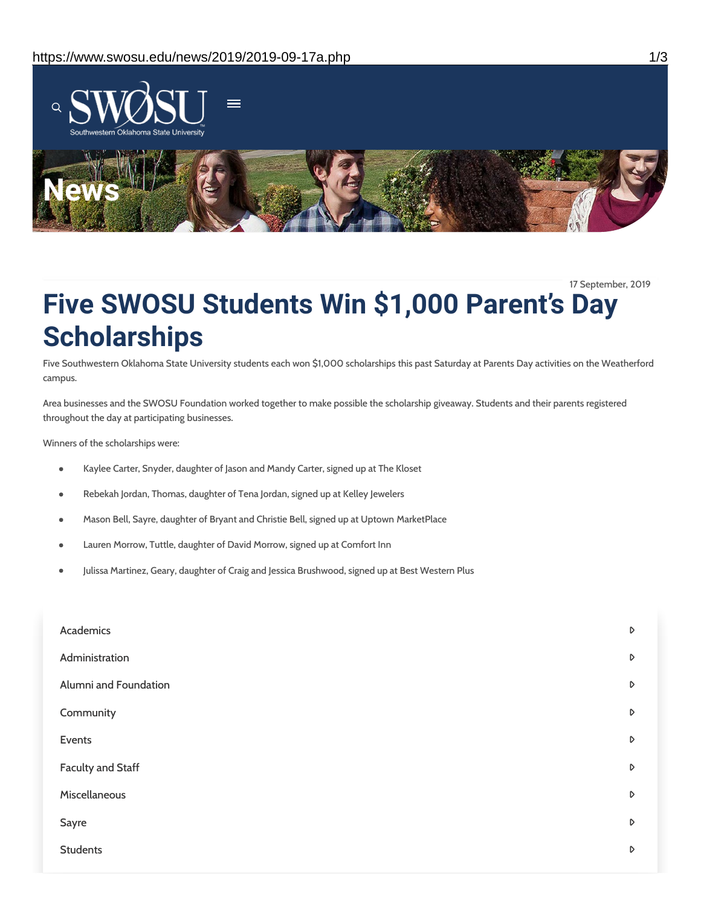

17 September, 2019

# **Five SWOSU Students Win \$1,000 Parent's Day Scholarships**

Five Southwestern Oklahoma State University students each won \$1,000 scholarships this past Saturday at Parents Day activities on the Weatherford campus.

Area businesses and the SWOSU Foundation worked together to make possible the scholarship giveaway. Students and their parents registered throughout the day at participating businesses.

Winners of the scholarships were:

- Kaylee Carter, Snyder, daughter of Jason and Mandy Carter, signed up at The Kloset  $\bullet$
- Rebekah Jordan, Thomas, daughter of Tena Jordan, signed up at Kelley Jewelers  $\bullet$
- Mason Bell, Sayre, daughter of Bryant and Christie Bell, signed up at Uptown MarketPlace
- Lauren Morrow, Tuttle, daughter of David Morrow, signed up at Comfort Inn  $\bullet$
- Julissa Martinez, Geary, daughter of Craig and Jessica Brushwood, signed up at Best Western Plus

| Academics                | $\triangleright$ |
|--------------------------|------------------|
| Administration           | $\mathsf D$      |
| Alumni and Foundation    | $\triangleright$ |
| Community                | $\triangleright$ |
| Events                   | D                |
| <b>Faculty and Staff</b> | $\triangleright$ |
| Miscellaneous            | $\triangleright$ |
| Sayre                    | D                |
| <b>Students</b>          | D                |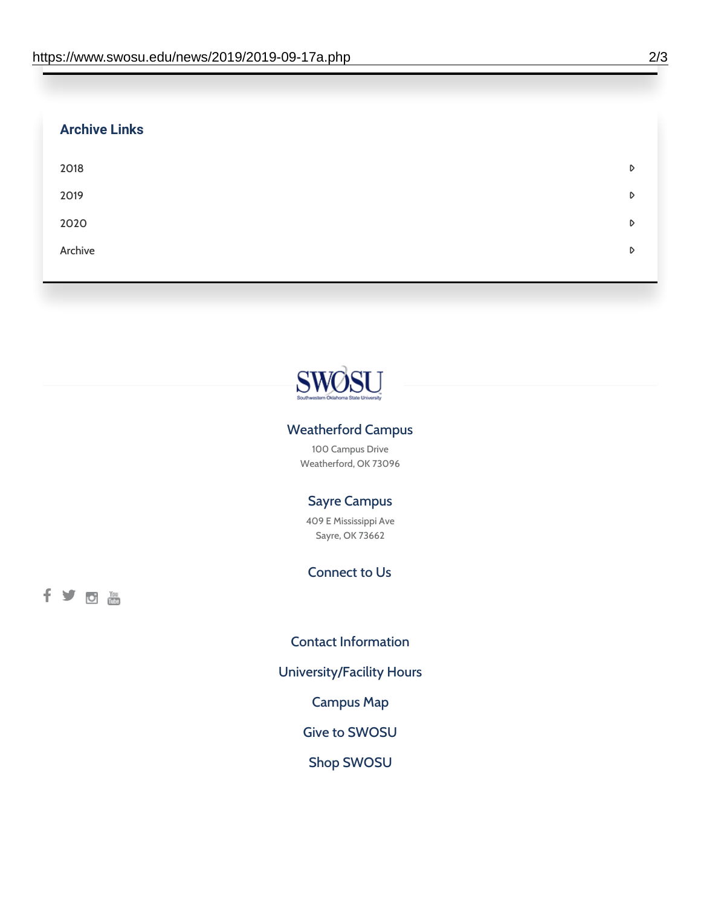| <b>Archive Links</b> |   |
|----------------------|---|
| 2018                 | D |
| 2019                 | D |
| 2020                 | D |
| Archive              | D |
|                      |   |



#### Weatherford Campus

100 Campus Drive Weatherford, OK 73096

#### Sayre Campus

409 E Mississippi Ave Sayre, OK 73662

### Connect to Us

fyoth

Contact [Information](https://www.swosu.edu/about/contact.php)

[University/Facility](https://www.swosu.edu/about/operating-hours.php) Hours

[Campus](https://map.concept3d.com/?id=768#!ct/10964,10214,10213,10212,10205,10204,10203,10202,10136,10129,10128,0,31226,10130,10201,10641,0) Map

Give to [SWOSU](https://standingfirmly.com/donate)

Shop [SWOSU](https://shopswosu.merchorders.com/)